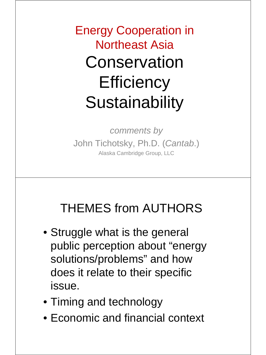Energy Cooperation in Northeast Asia **Conservation Efficiency Sustainability** 

*comments by*  John Tichotsky, Ph.D. (*Cantab*.) Alaska Cambridge Group, LLC

#### THEMES from AUTHORS

- Struggle what is the general public perception about "energy solutions/problems" and how does it relate to their specific issue.
- Timing and technology
- Economic and financial context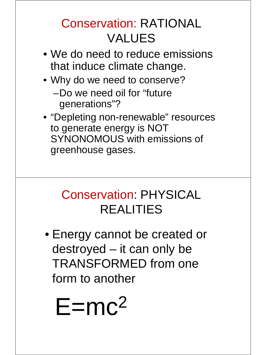## Conservation: RATIONAL VALUES

- We do need to reduce emissions that induce climate change.
- Why do we need to conserve? –Do we need oil for "future generations"?
- "Depleting non-renewable" resources to generate energy is NOT SYNONOMOUS with emissions of greenhouse gases.

## Conservation: PHYSICAL REALITIES

• Energy cannot be created or destroyed – it can only be TRANSFORMED from one form to another

 $E=mc^2$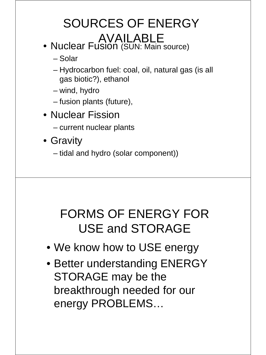# SOURCES OF ENERGY

- AVAILABLE<br>• Nuclear Fusion (SUN: Main source)
	- Solar
	- Hydrocarbon fuel: coal, oil, natural gas (is all gas biotic?), ethanol
	- wind, hydro
	- fusion plants (future),
- Nuclear Fission
	- current nuclear plants
- Gravity
	- tidal and hydro (solar component))

#### FORMS OF ENERGY FOR USE and STORAGE

- We know how to USE energy
- Better understanding ENERGY STORAGE may be the breakthrough needed for our energy PROBLEMS…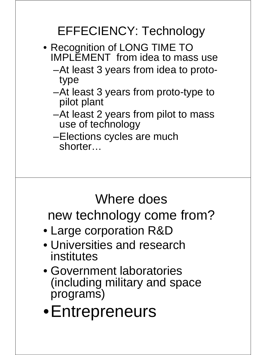### EFFECIENCY: Technology

- Recognition of LONG TIME TO IMPLEMENT from idea to mass use
	- –At least 3 years from idea to prototype
	- –At least 3 years from proto-type to pilot plant
	- –At least 2 years from pilot to mass use of technology
	- –Elections cycles are much shorter…

## Where does

new technology come from?

- Large corporation R&D
- Universities and research institutes
- Government laboratories (including military and space programs)
- •Entrepreneurs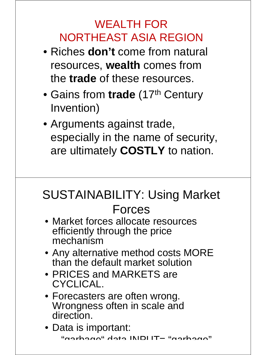#### WEALTH FOR NORTHEAST ASIA REGION

- Riches **don't** come from natural resources, **wealth** comes from the **trade** of these resources.
- Gains from **trade** (17<sup>th</sup> Century Invention)
- Arguments against trade, especially in the name of security, are ultimately **COSTLY** to nation.

#### SUSTAINABILITY: Using Market Forces

- Market forces allocate resources efficiently through the price mechanism
- Any alternative method costs MORE than the default market solution
- PRICES and MARKETS are CYCLICAL.
- Forecasters are often wrong. Wrongness often in scale and direction.
- Data is important: "garbaga" data INDI IT\_ "garbaga"